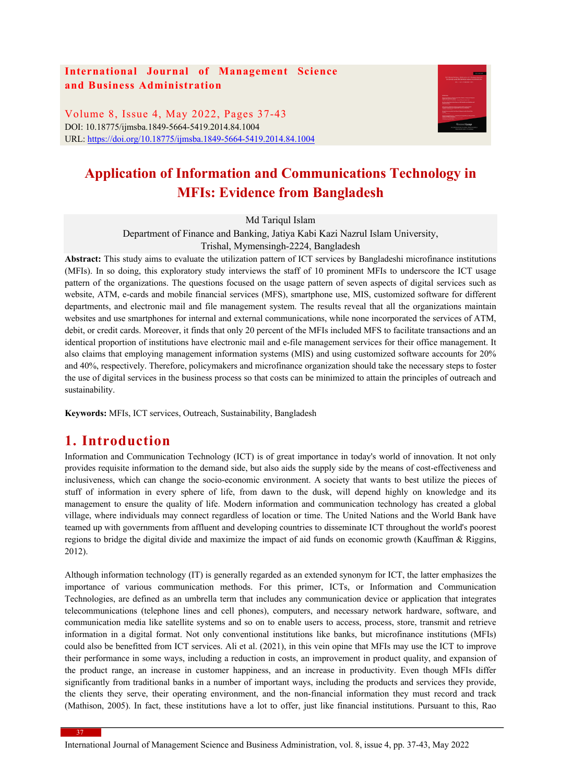### **International Journal of Management Science and Business Administration**

Volume 8, Issue 4, May 2022, Pages 37-43 DOI: 10.18775/ijmsba.1849-5664-5419.2014.84.1004 URL: https://doi.org/10.18775/ijmsba.1849-5664-5419.2014.84.1004



# **Application of Information and Communications Technology in MFIs: Evidence from Bangladesh**

Md Tariqul Islam

Department of Finance and Banking, Jatiya Kabi Kazi Nazrul Islam University,

Trishal, Mymensingh-2224, Bangladesh

**Abstract:** This study aims to evaluate the utilization pattern of ICT services by Bangladeshi microfinance institutions (MFIs). In so doing, this exploratory study interviews the staff of 10 prominent MFIs to underscore the ICT usage pattern of the organizations. The questions focused on the usage pattern of seven aspects of digital services such as website, ATM, e-cards and mobile financial services (MFS), smartphone use, MIS, customized software for different departments, and electronic mail and file management system. The results reveal that all the organizations maintain websites and use smartphones for internal and external communications, while none incorporated the services of ATM, debit, or credit cards. Moreover, it finds that only 20 percent of the MFIs included MFS to facilitate transactions and an identical proportion of institutions have electronic mail and e-file management services for their office management. It also claims that employing management information systems (MIS) and using customized software accounts for 20% and 40%, respectively. Therefore, policymakers and microfinance organization should take the necessary steps to foster the use of digital services in the business process so that costs can be minimized to attain the principles of outreach and sustainability.

**Keywords:** MFIs, ICT services, Outreach, Sustainability, Bangladesh

### **1. Introduction**

Information and Communication Technology (ICT) is of great importance in today's world of innovation. It not only provides requisite information to the demand side, but also aids the supply side by the means of cost-effectiveness and inclusiveness, which can change the socio-economic environment. A society that wants to best utilize the pieces of stuff of information in every sphere of life, from dawn to the dusk, will depend highly on knowledge and its management to ensure the quality of life. Modern information and communication technology has created a global village, where individuals may connect regardless of location or time. The United Nations and the World Bank have teamed up with governments from affluent and developing countries to disseminate ICT throughout the world's poorest regions to bridge the digital divide and maximize the impact of aid funds on economic growth (Kauffman & Riggins, 2012).

Although information technology (IT) is generally regarded as an extended synonym for ICT, the latter emphasizes the importance of various communication methods. For this primer, ICTs, or Information and Communication Technologies, are defined as an umbrella term that includes any communication device or application that integrates telecommunications (telephone lines and cell phones), computers, and necessary network hardware, software, and communication media like satellite systems and so on to enable users to access, process, store, transmit and retrieve information in a digital format. Not only conventional institutions like banks, but microfinance institutions (MFIs) could also be benefitted from ICT services. Ali et al. (2021), in this vein opine that MFIs may use the ICT to improve their performance in some ways, including a reduction in costs, an improvement in product quality, and expansion of the product range, an increase in customer happiness, and an increase in productivity. Even though MFIs differ significantly from traditional banks in a number of important ways, including the products and services they provide, the clients they serve, their operating environment, and the non-financial information they must record and track (Mathison, 2005). In fact, these institutions have a lot to offer, just like financial institutions. Pursuant to this, Rao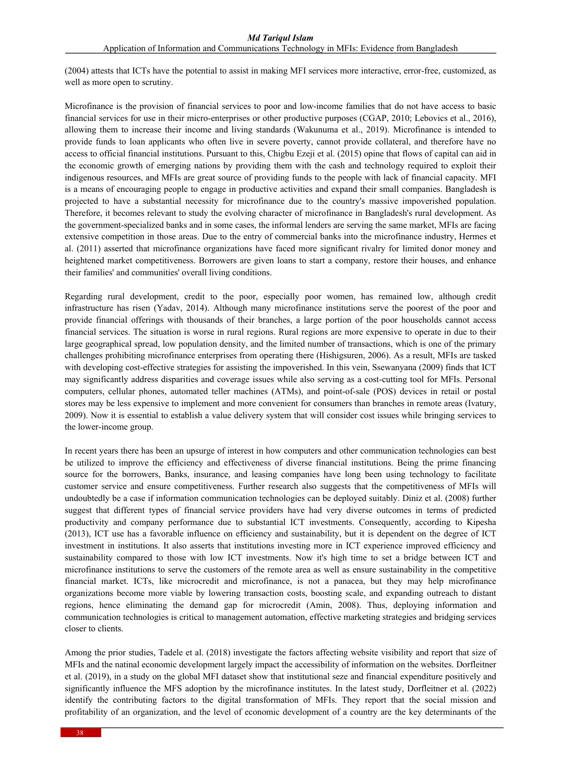(2004) attests that ICTs have the potential to assist in making MFI services more interactive, error-free, customized, as well as more open to scrutiny.

Microfinance is the provision of financial services to poor and low-income families that do not have access to basic financial services for use in their micro-enterprises or other productive purposes (CGAP, 2010; Lebovics et al., 2016), allowing them to increase their income and living standards (Wakunuma et al., 2019). Microfinance is intended to provide funds to loan applicants who often live in severe poverty, cannot provide collateral, and therefore have no access to official financial institutions. Pursuant to this, Chigbu Ezeji et al. (2015) opine that flows of capital can aid in the economic growth of emerging nations by providing them with the cash and technology required to exploit their indigenous resources, and MFIs are great source of providing funds to the people with lack of financial capacity. MFI is a means of encouraging people to engage in productive activities and expand their small companies. Bangladesh is projected to have a substantial necessity for microfinance due to the country's massive impoverished population. Therefore, it becomes relevant to study the evolving character of microfinance in Bangladesh's rural development. As the government-specialized banks and in some cases, the informal lenders are serving the same market, MFIs are facing extensive competition in those areas. Due to the entry of commercial banks into the microfinance industry, Hermes et al. (2011) asserted that microfinance organizations have faced more significant rivalry for limited donor money and heightened market competitiveness. Borrowers are given loans to start a company, restore their houses, and enhance their families' and communities' overall living conditions.

Regarding rural development, credit to the poor, especially poor women, has remained low, although credit infrastructure has risen (Yadav, 2014). Although many microfinance institutions serve the poorest of the poor and provide financial offerings with thousands of their branches, a large portion of the poor households cannot access financial services. The situation is worse in rural regions. Rural regions are more expensive to operate in due to their large geographical spread, low population density, and the limited number of transactions, which is one of the primary challenges prohibiting microfinance enterprises from operating there (Hishigsuren, 2006). As a result, MFIs are tasked with developing cost-effective strategies for assisting the impoverished. In this vein, Ssewanyana (2009) finds that ICT may significantly address disparities and coverage issues while also serving as a cost-cutting tool for MFIs. Personal computers, cellular phones, automated teller machines (ATMs), and point-of-sale (POS) devices in retail or postal stores may be less expensive to implement and more convenient for consumers than branches in remote areas (Ivatury, 2009). Now it is essential to establish a value delivery system that will consider cost issues while bringing services to the lower-income group.

In recent years there has been an upsurge of interest in how computers and other communication technologies can best be utilized to improve the efficiency and effectiveness of diverse financial institutions. Being the prime financing source for the borrowers, Banks, insurance, and leasing companies have long been using technology to facilitate customer service and ensure competitiveness. Further research also suggests that the competitiveness of MFIs will undoubtedly be a case if information communication technologies can be deployed suitably. Diniz et al. (2008) further suggest that different types of financial service providers have had very diverse outcomes in terms of predicted productivity and company performance due to substantial ICT investments. Consequently, according to Kipesha (2013), ICT use has a favorable influence on efficiency and sustainability, but it is dependent on the degree of ICT investment in institutions. It also asserts that institutions investing more in ICT experience improved efficiency and sustainability compared to those with low ICT investments. Now it's high time to set a bridge between ICT and microfinance institutions to serve the customers of the remote area as well as ensure sustainability in the competitive financial market. ICTs, like microcredit and microfinance, is not a panacea, but they may help microfinance organizations become more viable by lowering transaction costs, boosting scale, and expanding outreach to distant regions, hence eliminating the demand gap for microcredit (Amin, 2008). Thus, deploying information and communication technologies is critical to management automation, effective marketing strategies and bridging services closer to clients.

Among the prior studies, Tadele et al. (2018) investigate the factors affecting website visibility and report that size of MFIs and the natinal economic development largely impact the accessibility of information on the websites. Dorfleitner et al. (2019), in a study on the global MFI dataset show that institutional seze and financial expenditure positively and significantly influence the MFS adoption by the microfinance institutes. In the latest study, Dorfleitner et al. (2022) identify the contributing factors to the digital transformation of MFIs. They report that the social mission and profitability of an organization, and the level of economic development of a country are the key determinants of the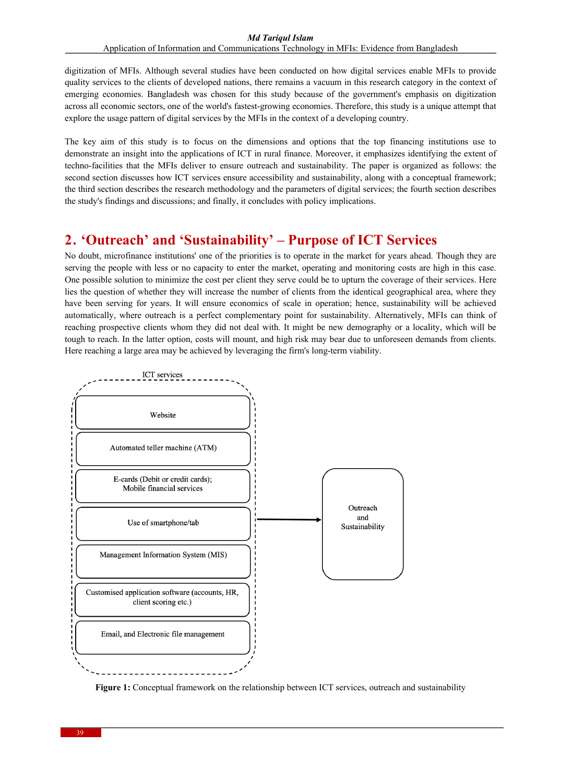Application of Information and Communications Technology in MFIs: Evidence from Bangladesh

digitization of MFIs. Although several studies have been conducted on how digital services enable MFIs to provide quality services to the clients of developed nations, there remains a vacuum in this research category in the context of emerging economies. Bangladesh was chosen for this study because of the government's emphasis on digitization across all economic sectors, one of the world's fastest-growing economies. Therefore, this study is a unique attempt that explore the usage pattern of digital services by the MFIs in the context of a developing country.

The key aim of this study is to focus on the dimensions and options that the top financing institutions use to demonstrate an insight into the applications of ICT in rural finance. Moreover, it emphasizes identifying the extent of techno-facilities that the MFIs deliver to ensure outreach and sustainability. The paper is organized as follows: the second section discusses how ICT services ensure accessibility and sustainability, along with a conceptual framework; the third section describes the research methodology and the parameters of digital services; the fourth section describes the study's findings and discussions; and finally, it concludes with policy implications.

### **2. 'Outreach' and 'Sustainability' – Purpose of ICT Services**

No doubt, microfinance institutions' one of the priorities is to operate in the market for years ahead. Though they are serving the people with less or no capacity to enter the market, operating and monitoring costs are high in this case. One possible solution to minimize the cost per client they serve could be to upturn the coverage of their services. Here lies the question of whether they will increase the number of clients from the identical geographical area, where they have been serving for years. It will ensure economics of scale in operation; hence, sustainability will be achieved automatically, where outreach is a perfect complementary point for sustainability. Alternatively, MFIs can think of reaching prospective clients whom they did not deal with. It might be new demography or a locality, which will be tough to reach. In the latter option, costs will mount, and high risk may bear due to unforeseen demands from clients. Here reaching a large area may be achieved by leveraging the firm's long-term viability.



**Figure 1:** Conceptual framework on the relationship between ICT services, outreach and sustainability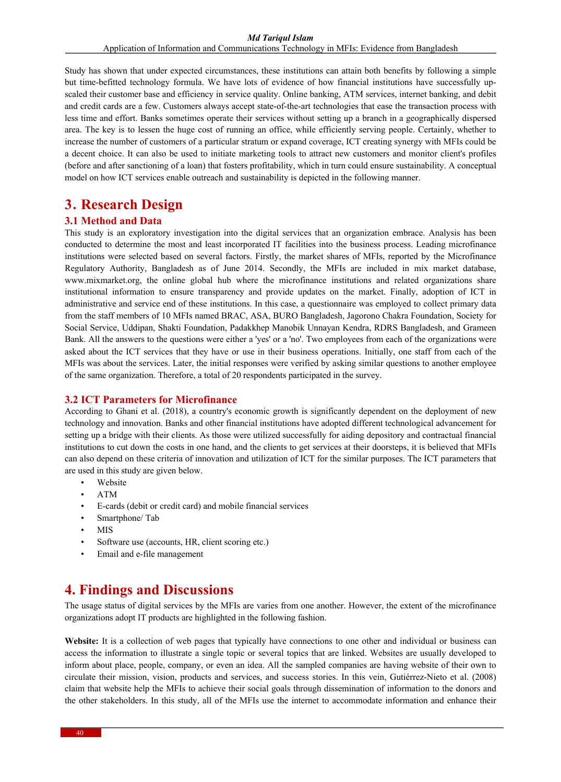Study has shown that under expected circumstances, these institutions can attain both benefits by following a simple but time-befitted technology formula. We have lots of evidence of how financial institutions have successfully upscaled their customer base and efficiency in service quality. Online banking, ATM services, internet banking, and debit and credit cards are a few. Customers always accept state-of-the-art technologies that ease the transaction process with less time and effort. Banks sometimes operate their services without setting up a branch in a geographically dispersed area. The key is to lessen the huge cost of running an office, while efficiently serving people. Certainly, whether to increase the number of customers of a particular stratum or expand coverage, ICT creating synergy with MFIs could be a decent choice. It can also be used to initiate marketing tools to attract new customers and monitor client's profiles (before and after sanctioning of a loan) that fosters profitability, which in turn could ensure sustainability. A conceptual model on how ICT services enable outreach and sustainability is depicted in the following manner.

### **3. Research Design**

#### **3.1 Method and Data**

This study is an exploratory investigation into the digital services that an organization embrace. Analysis has been conducted to determine the most and least incorporated IT facilities into the business process. Leading microfinance institutions were selected based on several factors. Firstly, the market shares of MFIs, reported by the Microfinance Regulatory Authority, Bangladesh as of June 2014. Secondly, the MFIs are included in mix market database, www.mixmarket.org, the online global hub where the microfinance institutions and related organizations share institutional information to ensure transparency and provide updates on the market. Finally, adoption of ICT in administrative and service end of these institutions. In this case, a questionnaire was employed to collect primary data from the staff members of 10 MFIs named BRAC, ASA, BURO Bangladesh, Jagorono Chakra Foundation, Society for Social Service, Uddipan, Shakti Foundation, Padakkhep Manobik Unnayan Kendra, RDRS Bangladesh, and Grameen Bank. All the answers to the questions were either a 'yes' or a 'no'. Two employees from each of the organizations were asked about the ICT services that they have or use in their business operations. Initially, one staff from each of the MFIs was about the services. Later, the initial responses were verified by asking similar questions to another employee of the same organization. Therefore, a total of 20 respondents participated in the survey.

#### **3.2 ICT Parameters for Microfinance**

According to Ghani et al. (2018), a country's economic growth is significantly dependent on the deployment of new technology and innovation. Banks and other financial institutions have adopted different technological advancement for setting up a bridge with their clients. As those were utilized successfully for aiding depository and contractual financial institutions to cut down the costs in one hand, and the clients to get services at their doorsteps, it is believed that MFIs can also depend on these criteria of innovation and utilization of ICT for the similar purposes. The ICT parameters that are used in this study are given below.

- Website
- ATM
- E-cards (debit or credit card) and mobile financial services
- Smartphone/Tab
- MIS
- Software use (accounts, HR, client scoring etc.)
- Email and e-file management

## **4. Findings and Discussions**

The usage status of digital services by the MFIs are varies from one another. However, the extent of the microfinance organizations adopt IT products are highlighted in the following fashion.

**Website:** It is a collection of web pages that typically have connections to one other and individual or business can access the information to illustrate a single topic or several topics that are linked. Websites are usually developed to inform about place, people, company, or even an idea. All the sampled companies are having website of their own to circulate their mission, vision, products and services, and success stories. In this vein, Gutiérrez‐Nieto et al. (2008) claim that website help the MFIs to achieve their social goals through dissemination of information to the donors and the other stakeholders. In this study, all of the MFIs use the internet to accommodate information and enhance their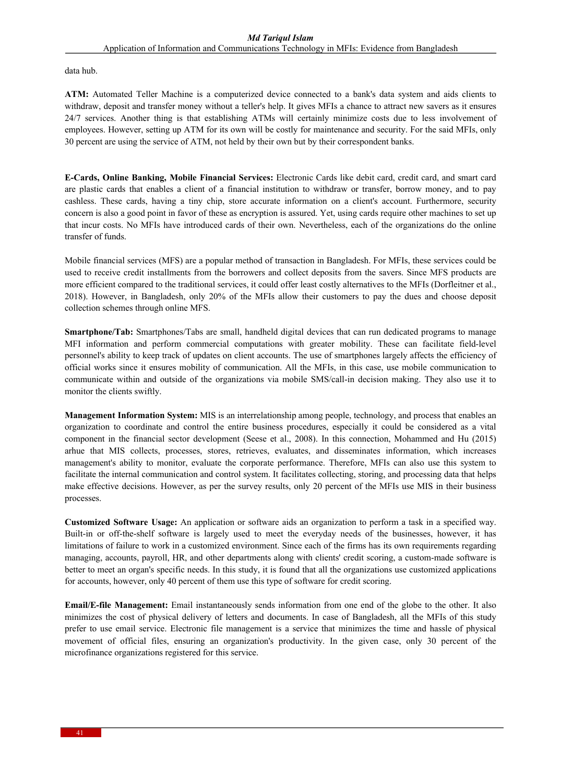data hub.

**ATM:** Automated Teller Machine is a computerized device connected to a bank's data system and aids clients to withdraw, deposit and transfer money without a teller's help. It gives MFIs a chance to attract new savers as it ensures 24/7 services. Another thing is that establishing ATMs will certainly minimize costs due to less involvement of employees. However, setting up ATM for its own will be costly for maintenance and security. For the said MFIs, only 30 percent are using the service of ATM, not held by their own but by their correspondent banks.

**E-Cards, Online Banking, Mobile Financial Services:** Electronic Cards like debit card, credit card, and smart card are plastic cards that enables a client of a financial institution to withdraw or transfer, borrow money, and to pay cashless. These cards, having a tiny chip, store accurate information on a client's account. Furthermore, security concern is also a good point in favor of these as encryption is assured. Yet, using cards require other machines to set up that incur costs. No MFIs have introduced cards of their own. Nevertheless, each of the organizations do the online transfer of funds.

Mobile financial services (MFS) are a popular method of transaction in Bangladesh. For MFIs, these services could be used to receive credit installments from the borrowers and collect deposits from the savers. Since MFS products are more efficient compared to the traditional services, it could offer least costly alternatives to the MFIs (Dorfleitner et al., 2018). However, in Bangladesh, only 20% of the MFIs allow their customers to pay the dues and choose deposit collection schemes through online MFS.

**Smartphone/Tab:** Smartphones/Tabs are small, handheld digital devices that can run dedicated programs to manage MFI information and perform commercial computations with greater mobility. These can facilitate field-level personnel's ability to keep track of updates on client accounts. The use of smartphones largely affects the efficiency of official works since it ensures mobility of communication. All the MFIs, in this case, use mobile communication to communicate within and outside of the organizations via mobile SMS/call-in decision making. They also use it to monitor the clients swiftly.

**Management Information System:** MIS is an interrelationship among people, technology, and process that enables an organization to coordinate and control the entire business procedures, especially it could be considered as a vital component in the financial sector development (Seese et al., 2008). In this connection, Mohammed and Hu (2015) arhue that MIS collects, processes, stores, retrieves, evaluates, and disseminates information, which increases management's ability to monitor, evaluate the corporate performance. Therefore, MFIs can also use this system to facilitate the internal communication and control system. It facilitates collecting, storing, and processing data that helps make effective decisions. However, as per the survey results, only 20 percent of the MFIs use MIS in their business processes.

**Customized Software Usage:** An application or software aids an organization to perform a task in a specified way. Built-in or off-the-shelf software is largely used to meet the everyday needs of the businesses, however, it has limitations of failure to work in a customized environment. Since each of the firms has its own requirements regarding managing, accounts, payroll, HR, and other departments along with clients' credit scoring, a custom-made software is better to meet an organ's specific needs. In this study, it is found that all the organizations use customized applications for accounts, however, only 40 percent of them use this type of software for credit scoring.

**Email/E-file Management:** Email instantaneously sends information from one end of the globe to the other. It also minimizes the cost of physical delivery of letters and documents. In case of Bangladesh, all the MFIs of this study prefer to use email service. Electronic file management is a service that minimizes the time and hassle of physical movement of official files, ensuring an organization's productivity. In the given case, only 30 percent of the microfinance organizations registered for this service.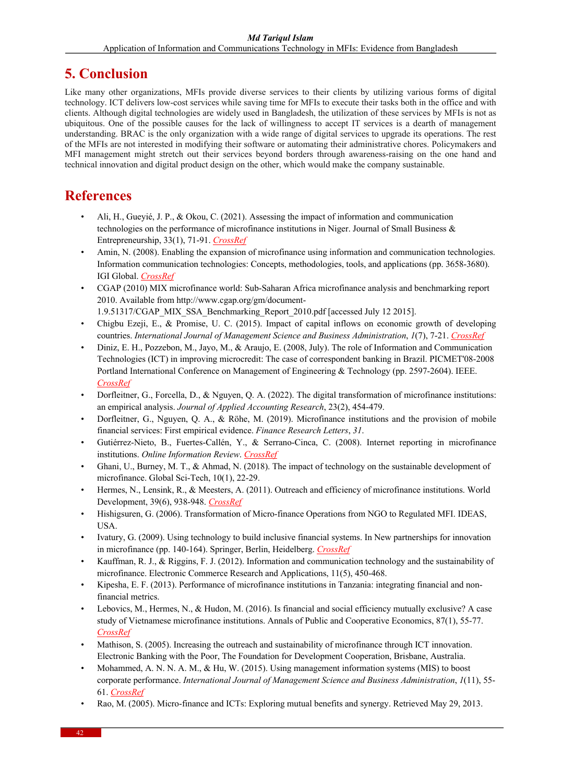## **5. Conclusion**

Like many other organizations, MFIs provide diverse services to their clients by utilizing various forms of digital technology. ICT delivers low-cost services while saving time for MFIs to execute their tasks both in the office and with clients. Although digital technologies are widely used in Bangladesh, the utilization of these services by MFIs is not as ubiquitous. One of the possible causes for the lack of willingness to accept IT services is a dearth of management understanding. BRAC is the only organization with a wide range of digital services to upgrade its operations. The rest of the MFIs are not interested in modifying their software or automating their administrative chores. Policymakers and MFI management might stretch out their services beyond borders through awareness-raising on the one hand and technical innovation and digital product design on the other, which would make the company sustainable.

## **References**

- Ali, H., Gueyié, J. P., & Okou, C. (2021). Assessing the impact of information and communication technologies on the performance of microfinance institutions in Niger. Journal of Small Business & Entrepreneurship, 33(1), 71-91. *CrossRef*
- Amin, N. (2008). Enabling the expansion of microfinance using information and communication technologies. Information communication technologies: Concepts, methodologies, tools, and applications (pp. 3658-3680). IGI Global. *CrossRef*
- CGAP (2010) MIX microfinance world: Sub-Saharan Africa microfinance analysis and benchmarking report 2010. Available from http://www.cgap.org/gm/document-1.9.51317/CGAP\_MIX\_SSA\_Benchmarking\_Report\_2010.pdf [accessed July 12 2015].
- Chigbu Ezeji, E., & Promise, U. C. (2015). Impact of capital inflows on economic growth of developing countries. *International Journal of Management Science and Business Administration*, *1*(7), 7-21. *CrossRef*
- Diniz, E. H., Pozzebon, M., Jayo, M., & Araujo, E. (2008, July). The role of Information and Communication Technologies (ICT) in improving microcredit: The case of correspondent banking in Brazil. PICMET'08-2008 Portland International Conference on Management of Engineering & Technology (pp. 2597-2604). IEEE. *CrossRef*
- Dorfleitner, G., Forcella, D., & Nguyen, Q. A. (2022). The digital transformation of microfinance institutions: an empirical analysis. *Journal of Applied Accounting Research*, 23(2), 454-479.
- Dorfleitner, G., Nguyen, Q. A., & Röhe, M. (2019). Microfinance institutions and the provision of mobile financial services: First empirical evidence. *Finance Research Letters*, *31*.
- Gutiérrez‐Nieto, B., Fuertes‐Callén, Y., & Serrano‐Cinca, C. (2008). Internet reporting in microfinance institutions. *Online Information Review*. *CrossRef*
- Ghani, U., Burney, M. T., & Ahmad, N. (2018). The impact of technology on the sustainable development of microfinance. Global Sci-Tech, 10(1), 22-29.
- Hermes, N., Lensink, R., & Meesters, A. (2011). Outreach and efficiency of microfinance institutions. World Development, 39(6), 938-948. *CrossRef*
- Hishigsuren, G. (2006). Transformation of Micro-finance Operations from NGO to Regulated MFI. IDEAS, USA.
- Ivatury, G. (2009). Using technology to build inclusive financial systems. In New partnerships for innovation in microfinance (pp. 140-164). Springer, Berlin, Heidelberg. *CrossRef*
- Kauffman, R. J., & Riggins, F. J. (2012). Information and communication technology and the sustainability of microfinance. Electronic Commerce Research and Applications, 11(5), 450-468.
- Kipesha, E. F. (2013). Performance of microfinance institutions in Tanzania: integrating financial and nonfinancial metrics.
- Lebovics, M., Hermes, N., & Hudon, M. (2016). Is financial and social efficiency mutually exclusive? A case study of Vietnamese microfinance institutions. Annals of Public and Cooperative Economics, 87(1), 55-77. *CrossRef*
- Mathison, S. (2005). Increasing the outreach and sustainability of microfinance through ICT innovation. Electronic Banking with the Poor, The Foundation for Development Cooperation, Brisbane, Australia.
- Mohammed, A. N. N. A. M., & Hu, W. (2015). Using management information systems (MIS) to boost corporate performance. *International Journal of Management Science and Business Administration*, *1*(11), 55- 61. *CrossRef*
- Rao, M. (2005). Micro-finance and ICTs: Exploring mutual benefits and synergy. Retrieved May 29, 2013.